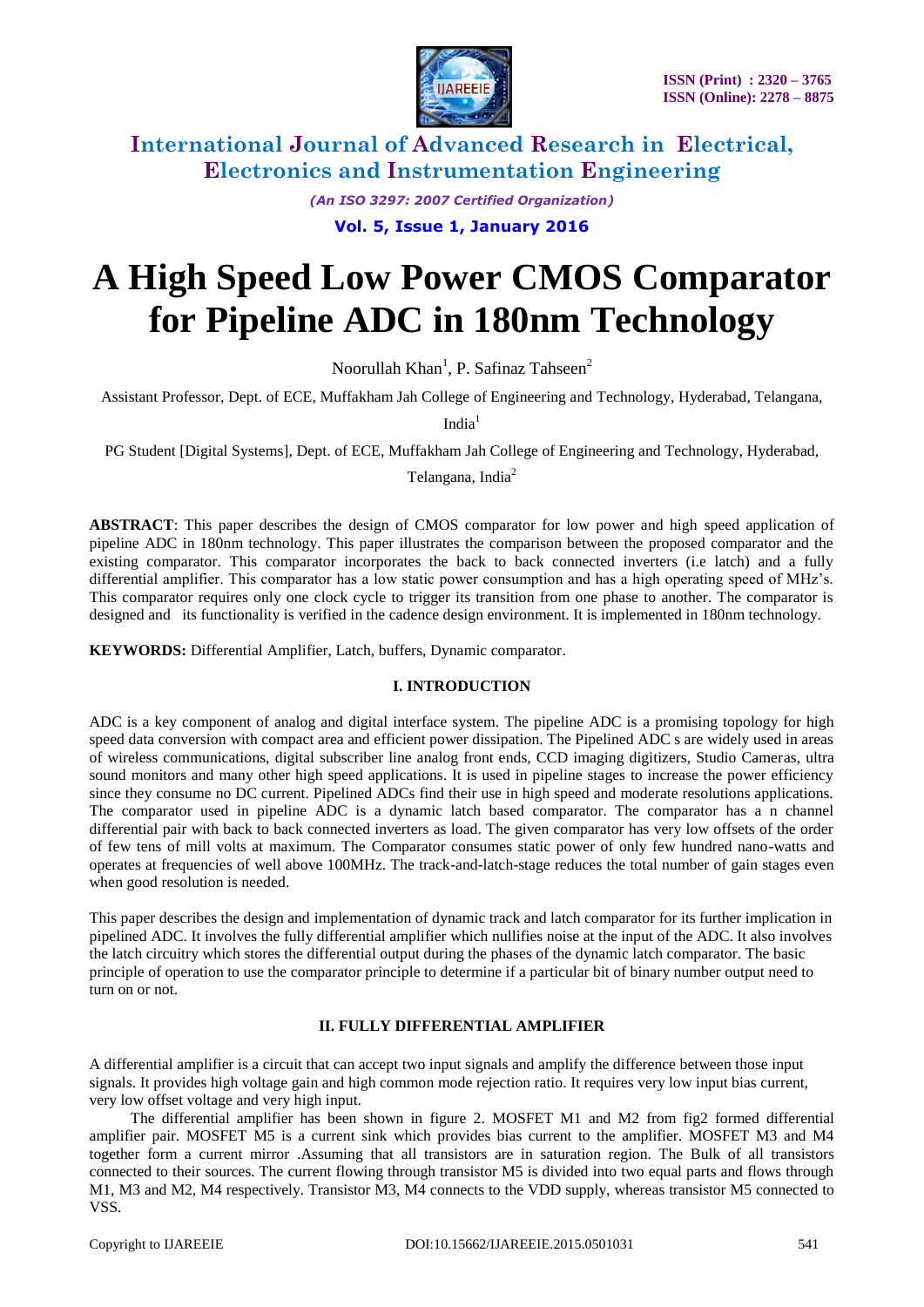

*(An ISO 3297: 2007 Certified Organization)*

**Vol. 5, Issue 1, January 2016**

# **A High Speed Low Power CMOS Comparator for Pipeline ADC in 180nm Technology**

Noorullah Khan<sup>1</sup>, P. Safinaz Tahseen<sup>2</sup>

Assistant Professor, Dept. of ECE, Muffakham Jah College of Engineering and Technology, Hyderabad, Telangana,

India $1$ 

PG Student [Digital Systems], Dept. of ECE, Muffakham Jah College of Engineering and Technology, Hyderabad,

Telangana, India<sup>2</sup>

**ABSTRACT**: This paper describes the design of CMOS comparator for low power and high speed application of pipeline ADC in 180nm technology. This paper illustrates the comparison between the proposed comparator and the existing comparator. This comparator incorporates the back to back connected inverters (i.e latch) and a fully differential amplifier. This comparator has a low static power consumption and has a high operating speed of MHz's. This comparator requires only one clock cycle to trigger its transition from one phase to another. The comparator is designed and its functionality is verified in the cadence design environment. It is implemented in 180nm technology.

**KEYWORDS:** Differential Amplifier, Latch, buffers, Dynamic comparator.

#### **I. INTRODUCTION**

ADC is a key component of analog and digital interface system. The pipeline ADC is a promising topology for high speed data conversion with compact area and efficient power dissipation. The Pipelined ADC s are widely used in areas of wireless communications, digital subscriber line analog front ends, CCD imaging digitizers, Studio Cameras, ultra sound monitors and many other high speed applications. It is used in pipeline stages to increase the power efficiency since they consume no DC current. Pipelined ADCs find their use in high speed and moderate resolutions applications. The comparator used in pipeline ADC is a dynamic latch based comparator. The comparator has a n channel differential pair with back to back connected inverters as load. The given comparator has very low offsets of the order of few tens of mill volts at maximum. The Comparator consumes static power of only few hundred nano-watts and operates at frequencies of well above 100MHz. The track-and-latch-stage reduces the total number of gain stages even when good resolution is needed.

This paper describes the design and implementation of dynamic track and latch comparator for its further implication in pipelined ADC. It involves the fully differential amplifier which nullifies noise at the input of the ADC. It also involves the latch circuitry which stores the differential output during the phases of the dynamic latch comparator. The basic principle of operation to use the comparator principle to determine if a particular bit of binary number output need to turn on or not.

### **II. FULLY DIFFERENTIAL AMPLIFIER**

A differential amplifier is a circuit that can accept two input signals and amplify the difference between those input signals. It provides high voltage gain and high common mode rejection ratio. It requires very low input bias current, very low offset voltage and very high input.

 The differential amplifier has been shown in figure 2. MOSFET M1 and M2 from fig2 formed differential amplifier pair. MOSFET M5 is a current sink which provides bias current to the amplifier. MOSFET M3 and M4 together form a current mirror .Assuming that all transistors are in saturation region. The Bulk of all transistors connected to their sources. The current flowing through transistor M5 is divided into two equal parts and flows through M1, M3 and M2, M4 respectively. Transistor M3, M4 connects to the VDD supply, whereas transistor M5 connected to VSS.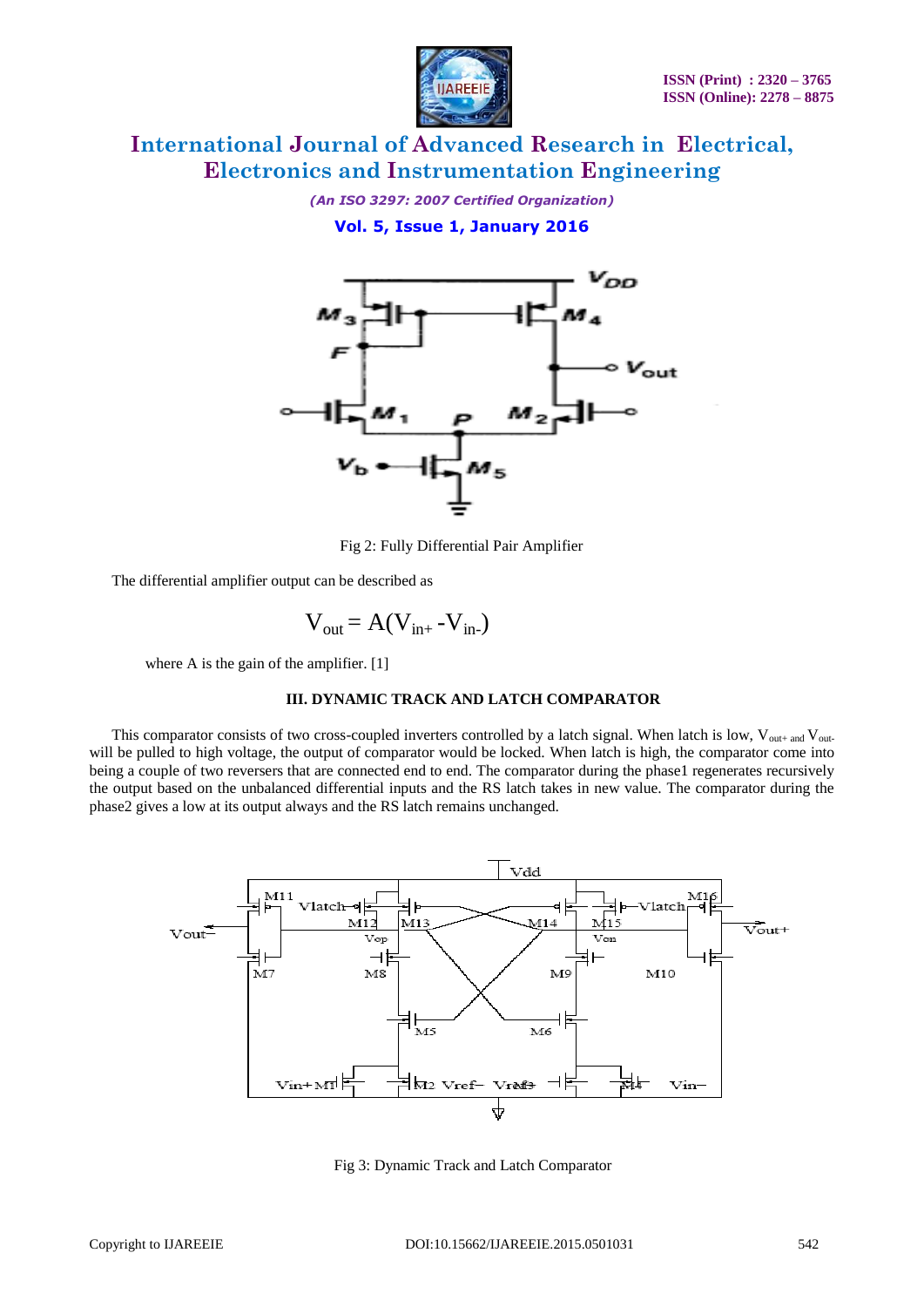

*(An ISO 3297: 2007 Certified Organization)*

**Vol. 5, Issue 1, January 2016**



Fig 2: Fully Differential Pair Amplifier

The differential amplifier output can be described as

$$
V_{out} = A(V_{in+} - V_{in-})
$$

where A is the gain of the amplifier. [1]

#### **III. DYNAMIC TRACK AND LATCH COMPARATOR**

This comparator consists of two cross-coupled inverters controlled by a latch signal. When latch is low,  $V_{\text{out+ and}}V_{\text{out-}}$ will be pulled to high voltage, the output of comparator would be locked. When latch is high, the comparator come into being a couple of two reversers that are connected end to end. The comparator during the phase1 regenerates recursively the output based on the unbalanced differential inputs and the RS latch takes in new value. The comparator during the phase2 gives a low at its output always and the RS latch remains unchanged.



Fig 3: Dynamic Track and Latch Comparator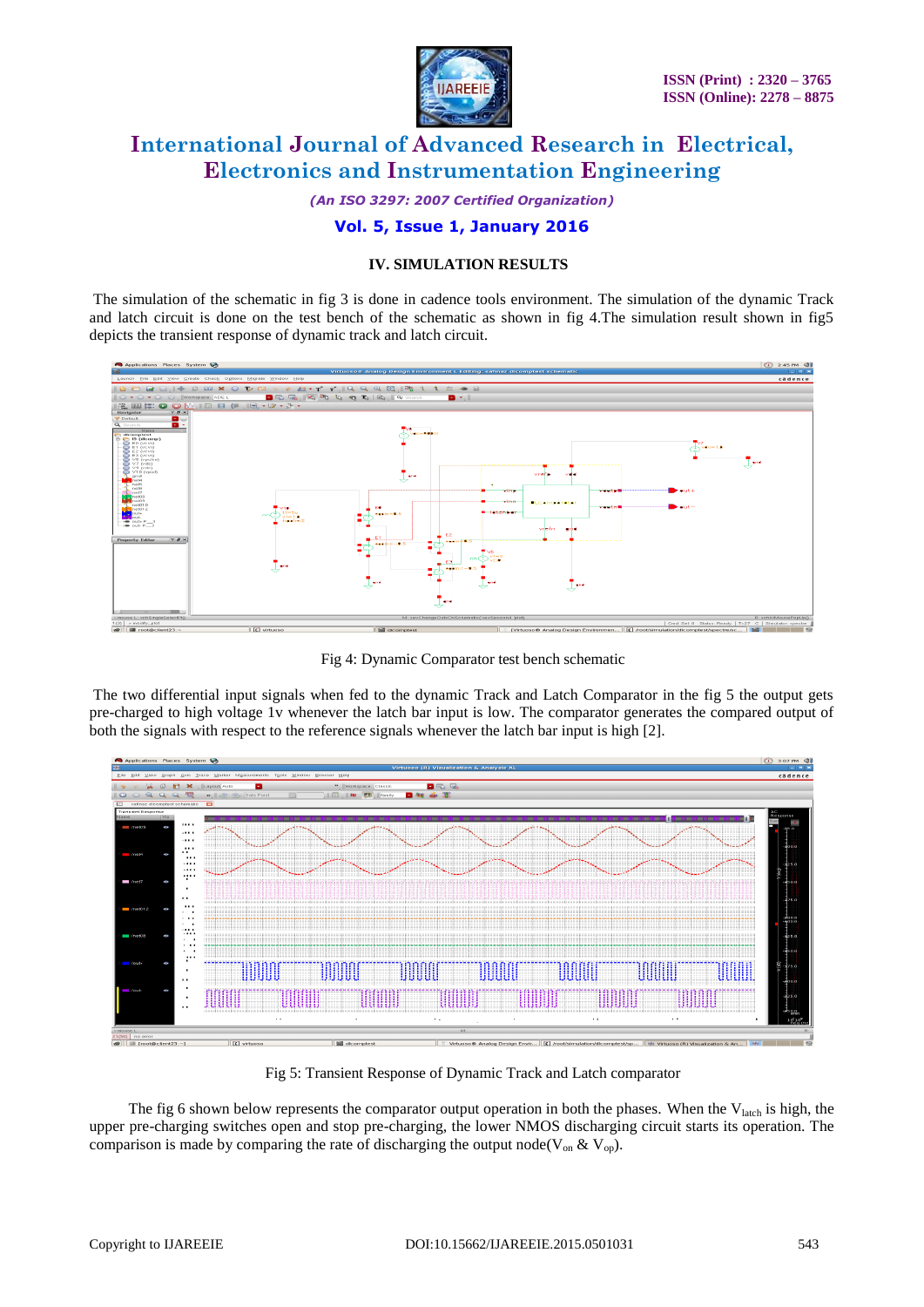

*(An ISO 3297: 2007 Certified Organization)*

## **Vol. 5, Issue 1, January 2016**

#### **IV. SIMULATION RESULTS**

The simulation of the schematic in fig 3 is done in cadence tools environment. The simulation of the dynamic Track and latch circuit is done on the test bench of the schematic as shown in fig 4.The simulation result shown in fig5 depicts the transient response of dynamic track and latch circuit.



Fig 4: Dynamic Comparator test bench schematic

The two differential input signals when fed to the dynamic Track and Latch Comparator in the fig 5 the output gets pre-charged to high voltage 1v whenever the latch bar input is low. The comparator generates the compared output of both the signals with respect to the reference signals whenever the latch bar input is high [2].



Fig 5: Transient Response of Dynamic Track and Latch comparator

The fig 6 shown below represents the comparator output operation in both the phases. When the  $V<sub>latch</sub>$  is high, the upper pre-charging switches open and stop pre-charging, the lower NMOS discharging circuit starts its operation. The comparison is made by comparing the rate of discharging the output node( $V_{on}$  &  $V_{op}$ ).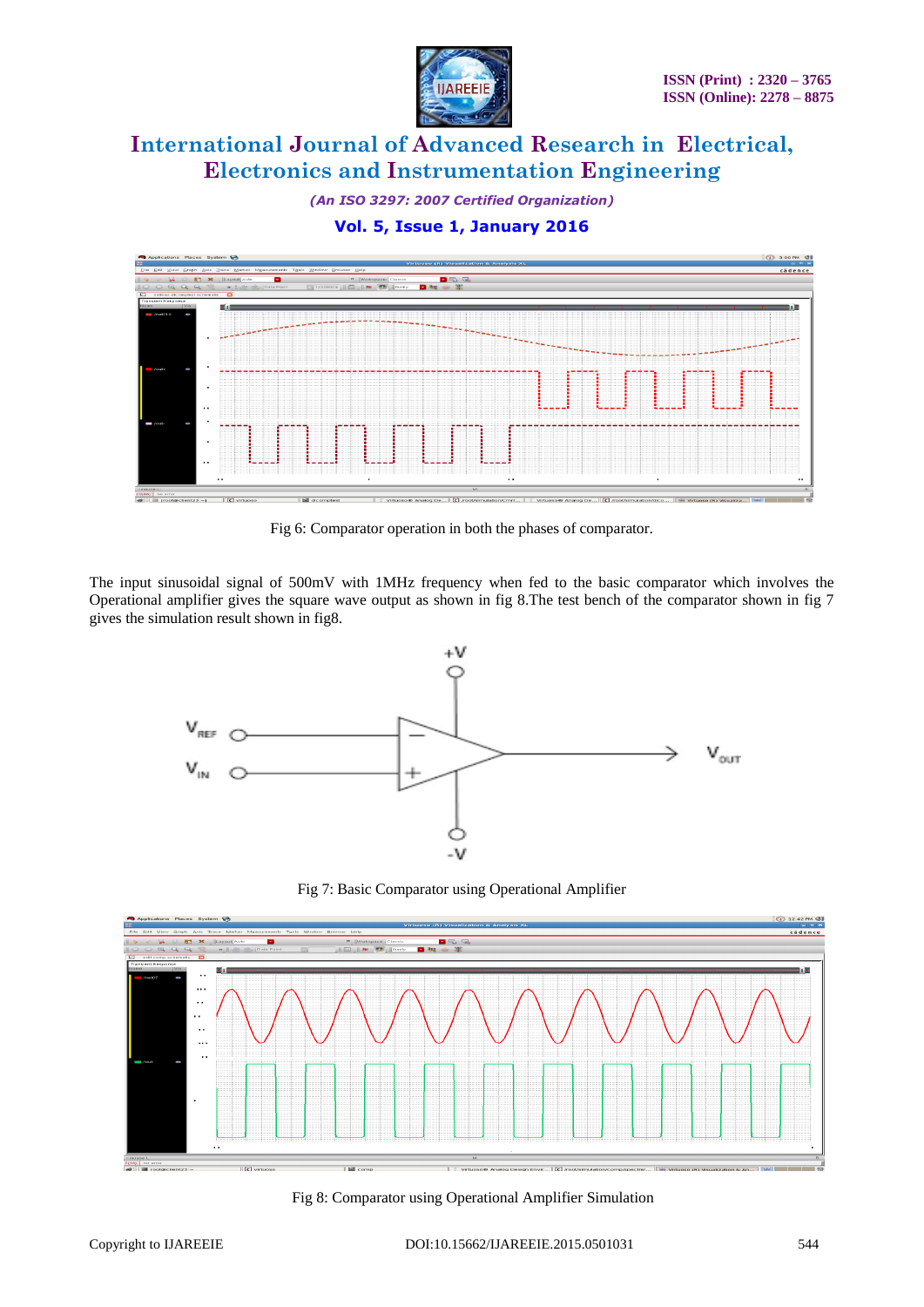

*(An ISO 3297: 2007 Certified Organization)*

## **Vol. 5, Issue 1, January 2016**



Fig 6: Comparator operation in both the phases of comparator.

The input sinusoidal signal of 500mV with 1MHz frequency when fed to the basic comparator which involves the Operational amplifier gives the square wave output as shown in fig 8.The test bench of the comparator shown in fig 7 gives the simulation result shown in fig8.



Fig 7: Basic Comparator using Operational Amplifier



Fig 8: Comparator using Operational Amplifier Simulation